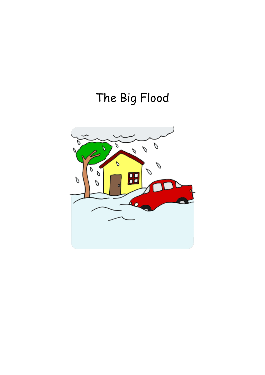## The Big Flood

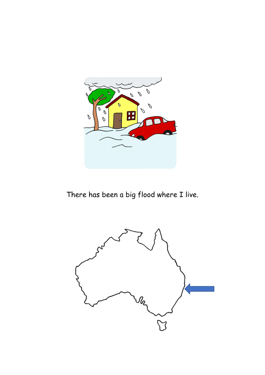

There has been a big flood where I live.

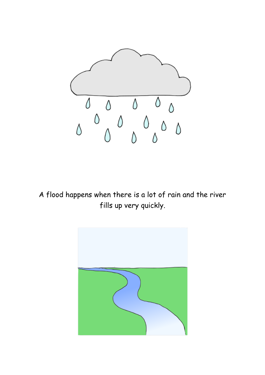

A flood happens when there is a lot of rain and the river fills up very quickly.

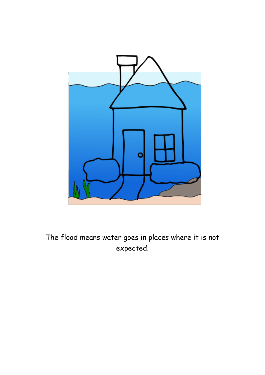

The flood means water goes in places where it is not expected.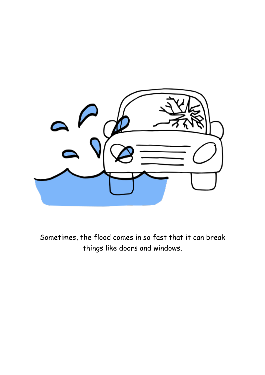

Sometimes, the flood comes in so fast that it can break things like doors and windows.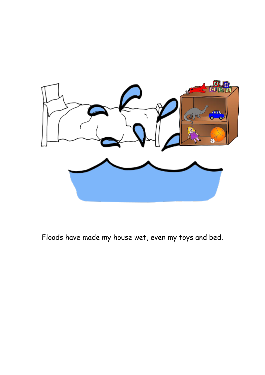

Floods have made my house wet, even my toys and bed.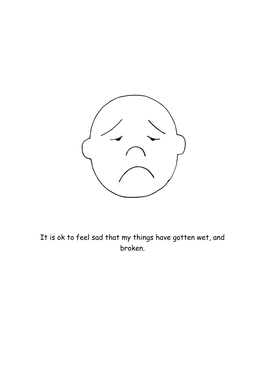

It is ok to feel sad that my things have gotten wet, and broken.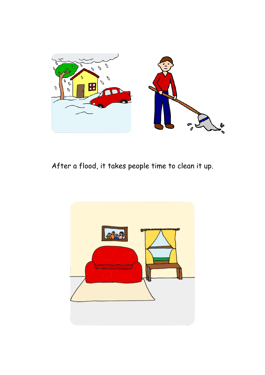

After a flood, it takes people time to clean it up.

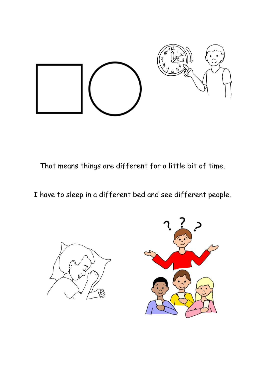

That means things are different for a little bit of time.

I have to sleep in a different bed and see different people.



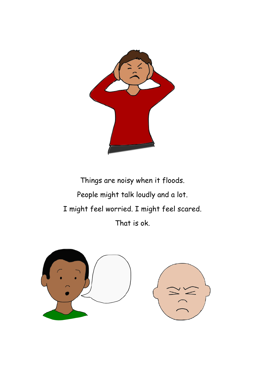

Things are noisy when it floods. People might talk loudly and a lot. I might feel worried. I might feel scared. That is ok.

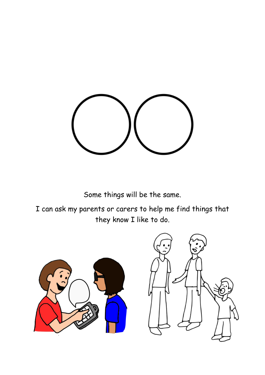

Some things will be the same.

I can ask my parents or carers to help me find things that they know I like to do.

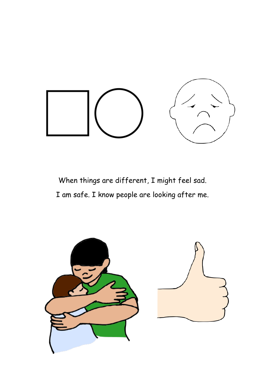

When things are different, I might feel sad. I am safe. I know people are looking after me.

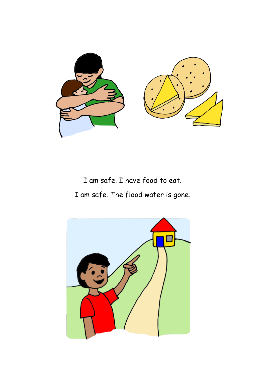

I am safe. I have food to eat. I am safe. The flood water is gone.

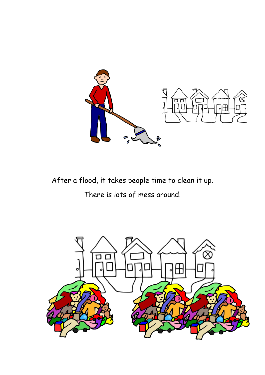

After a flood, it takes people time to clean it up.

There is lots of mess around.

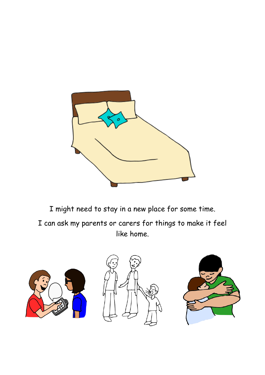

I might need to stay in a new place for some time.

I can ask my parents or carers for things to make it feel like home.

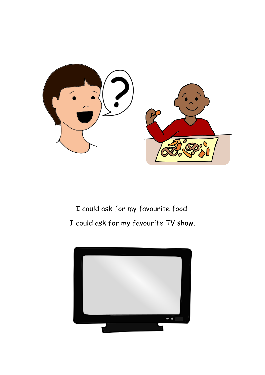

I could ask for my favourite food. I could ask for my favourite TV show.